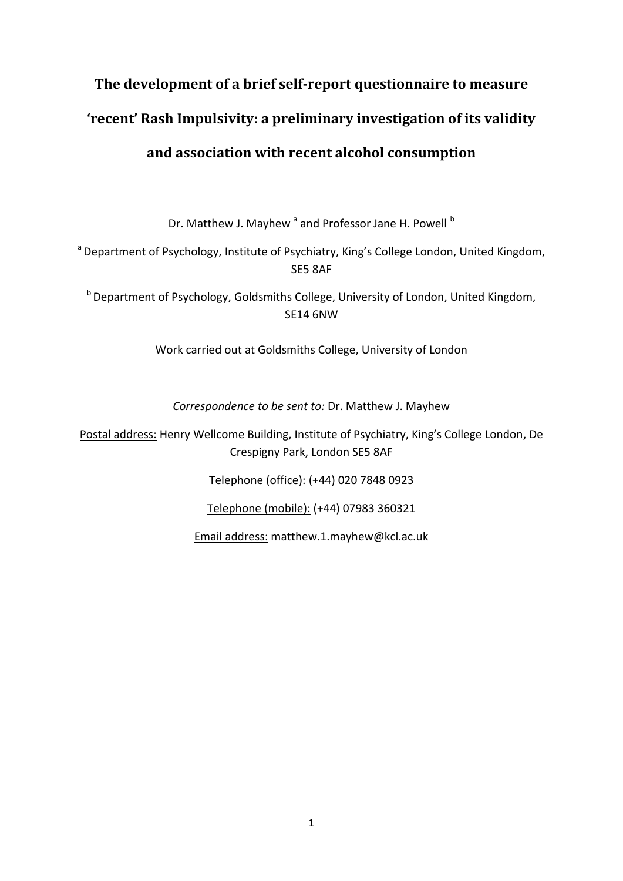# **The development of a brief self-report questionnaire to measure**

# **'recent' Rash Impulsivity: a preliminary investigation of its validity**

# **and association with recent alcohol consumption**

Dr. Matthew J. Mayhew<sup>a</sup> and Professor Jane H. Powell b

<sup>a</sup> Department of Psychology, Institute of Psychiatry, King's College London, United Kingdom, SE5 8AF

<sup>b</sup> Department of Psychology, Goldsmiths College, University of London, United Kingdom, SE14 6NW

Work carried out at Goldsmiths College, University of London

*Correspondence to be sent to:* Dr. Matthew J. Mayhew

Postal address: Henry Wellcome Building, Institute of Psychiatry, King's College London, De Crespigny Park, London SE5 8AF

Telephone (office): (+44) 020 7848 0923

Telephone (mobile): (+44) 07983 360321

Email address: matthew.1.mayhew@kcl.ac.uk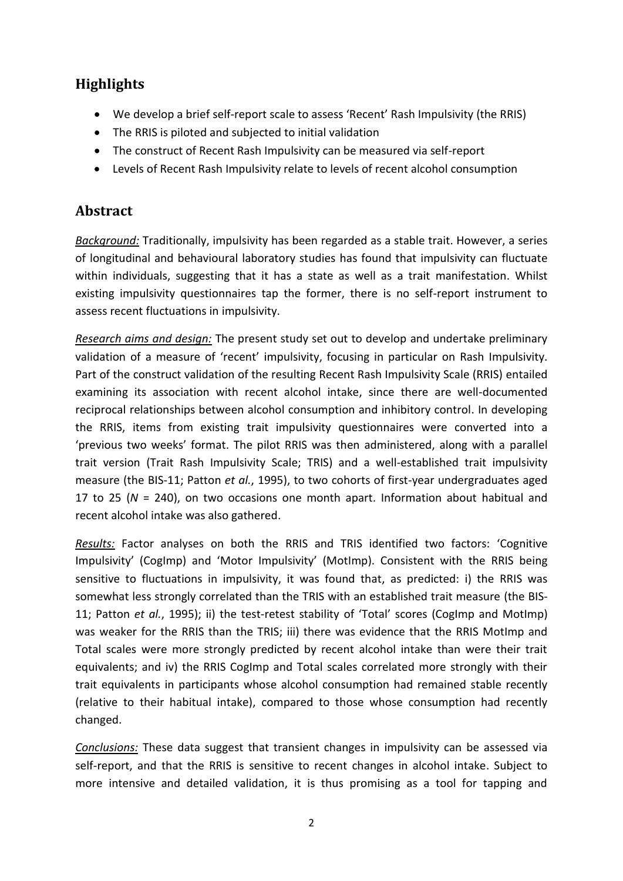# **Highlights**

- We develop a brief self-report scale to assess 'Recent' Rash Impulsivity (the RRIS)
- The RRIS is piloted and subjected to initial validation
- The construct of Recent Rash Impulsivity can be measured via self-report
- Levels of Recent Rash Impulsivity relate to levels of recent alcohol consumption

# **Abstract**

*Background:* Traditionally, impulsivity has been regarded as a stable trait. However, a series of longitudinal and behavioural laboratory studies has found that impulsivity can fluctuate within individuals, suggesting that it has a state as well as a trait manifestation. Whilst existing impulsivity questionnaires tap the former, there is no self-report instrument to assess recent fluctuations in impulsivity.

*Research aims and design:* The present study set out to develop and undertake preliminary validation of a measure of 'recent' impulsivity, focusing in particular on Rash Impulsivity. Part of the construct validation of the resulting Recent Rash Impulsivity Scale (RRIS) entailed examining its association with recent alcohol intake, since there are well-documented reciprocal relationships between alcohol consumption and inhibitory control. In developing the RRIS, items from existing trait impulsivity questionnaires were converted into a 'previous two weeks' format. The pilot RRIS was then administered, along with a parallel trait version (Trait Rash Impulsivity Scale; TRIS) and a well-established trait impulsivity measure (the BIS-11; Patton *et al.*, 1995), to two cohorts of first-year undergraduates aged 17 to 25 (*N* = 240), on two occasions one month apart. Information about habitual and recent alcohol intake was also gathered.

*Results:* Factor analyses on both the RRIS and TRIS identified two factors: 'Cognitive Impulsivity' (CogImp) and 'Motor Impulsivity' (MotImp). Consistent with the RRIS being sensitive to fluctuations in impulsivity, it was found that, as predicted: i) the RRIS was somewhat less strongly correlated than the TRIS with an established trait measure (the BIS-11; Patton *et al.*, 1995); ii) the test-retest stability of 'Total' scores (CogImp and MotImp) was weaker for the RRIS than the TRIS; iii) there was evidence that the RRIS MotImp and Total scales were more strongly predicted by recent alcohol intake than were their trait equivalents; and iv) the RRIS CogImp and Total scales correlated more strongly with their trait equivalents in participants whose alcohol consumption had remained stable recently (relative to their habitual intake), compared to those whose consumption had recently changed.

*Conclusions:* These data suggest that transient changes in impulsivity can be assessed via self-report, and that the RRIS is sensitive to recent changes in alcohol intake. Subject to more intensive and detailed validation, it is thus promising as a tool for tapping and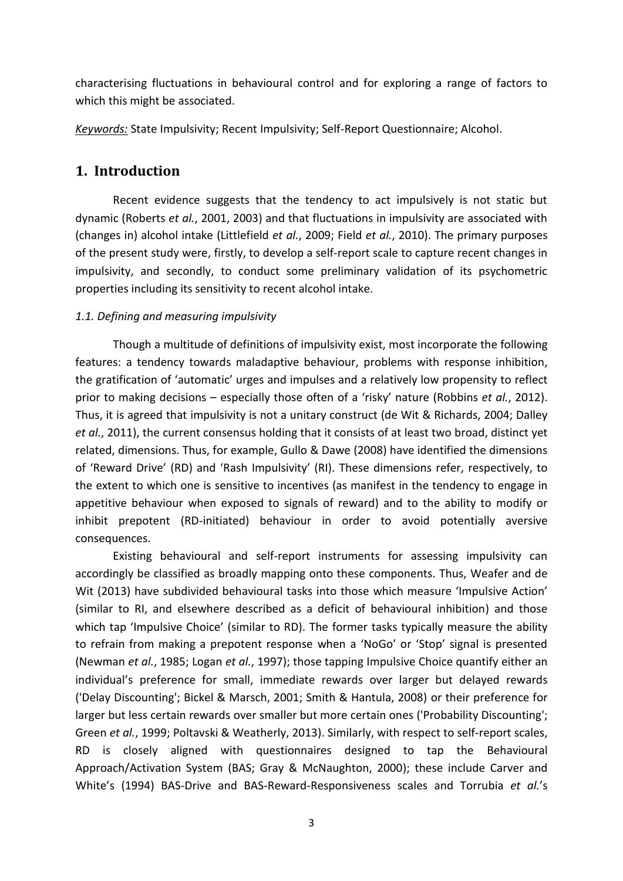characterising fluctuations in behavioural control and for exploring a range of factors to which this might be associated.

*Keywords:* State Impulsivity; Recent Impulsivity; Self-Report Questionnaire; Alcohol.

## **1. Introduction**

Recent evidence suggests that the tendency to act impulsively is not static but dynamic (Roberts *et al.*, 2001, 2003) and that fluctuations in impulsivity are associated with (changes in) alcohol intake (Littlefield *et al.*, 2009; Field *et al.*, 2010). The primary purposes of the present study were, firstly, to develop a self-report scale to capture recent changes in impulsivity, and secondly, to conduct some preliminary validation of its psychometric properties including its sensitivity to recent alcohol intake.

## *1.1. Defining and measuring impulsivity*

Though a multitude of definitions of impulsivity exist, most incorporate the following features: a tendency towards maladaptive behaviour, problems with response inhibition, the gratification of 'automatic' urges and impulses and a relatively low propensity to reflect prior to making decisions – especially those often of a 'risky' nature (Robbins *et al.*, 2012). Thus, it is agreed that impulsivity is not a unitary construct (de Wit & Richards, 2004; Dalley *et al.*, 2011), the current consensus holding that it consists of at least two broad, distinct yet related, dimensions. Thus, for example, Gullo & Dawe (2008) have identified the dimensions of 'Reward Drive' (RD) and 'Rash Impulsivity' (RI). These dimensions refer, respectively, to the extent to which one is sensitive to incentives (as manifest in the tendency to engage in appetitive behaviour when exposed to signals of reward) and to the ability to modify or inhibit prepotent (RD-initiated) behaviour in order to avoid potentially aversive consequences.

Existing behavioural and self-report instruments for assessing impulsivity can accordingly be classified as broadly mapping onto these components. Thus, Weafer and de Wit (2013) have subdivided behavioural tasks into those which measure 'Impulsive Action' (similar to RI, and elsewhere described as a deficit of behavioural inhibition) and those which tap 'Impulsive Choice' (similar to RD). The former tasks typically measure the ability to refrain from making a prepotent response when a 'NoGo' or 'Stop' signal is presented (Newman *et al.*, 1985; Logan *et al.*, 1997); those tapping Impulsive Choice quantify either an individual's preference for small, immediate rewards over larger but delayed rewards ('Delay Discounting'; Bickel & Marsch, 2001; Smith & Hantula, 2008) or their preference for larger but less certain rewards over smaller but more certain ones ('Probability Discounting'; Green *et al.*, 1999; Poltavski & Weatherly, 2013). Similarly, with respect to self-report scales, RD is closely aligned with questionnaires designed to tap the Behavioural Approach/Activation System (BAS; Gray & McNaughton, 2000); these include Carver and White's (1994) BAS-Drive and BAS-Reward-Responsiveness scales and Torrubia *et al.*'s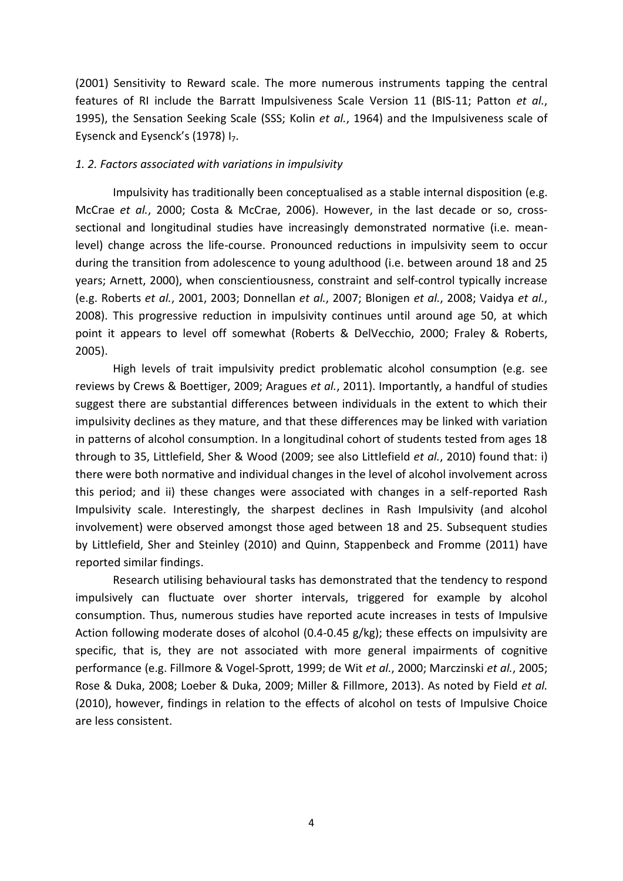(2001) Sensitivity to Reward scale. The more numerous instruments tapping the central features of RI include the Barratt Impulsiveness Scale Version 11 (BIS-11; Patton *et al.*, 1995), the Sensation Seeking Scale (SSS; Kolin *et al.*, 1964) and the Impulsiveness scale of Eysenck and Eysenck's (1978) I7.

#### *1. 2. Factors associated with variations in impulsivity*

Impulsivity has traditionally been conceptualised as a stable internal disposition (e.g. McCrae *et al.*, 2000; Costa & McCrae, 2006). However, in the last decade or so, crosssectional and longitudinal studies have increasingly demonstrated normative (i.e. meanlevel) change across the life-course. Pronounced reductions in impulsivity seem to occur during the transition from adolescence to young adulthood (i.e. between around 18 and 25 years; Arnett, 2000), when conscientiousness, constraint and self-control typically increase (e.g. Roberts *et al.*, 2001, 2003; Donnellan *et al.*, 2007; Blonigen *et al.*, 2008; Vaidya *et al.*, 2008). This progressive reduction in impulsivity continues until around age 50, at which point it appears to level off somewhat (Roberts & DelVecchio, 2000; Fraley & Roberts, 2005).

High levels of trait impulsivity predict problematic alcohol consumption (e.g. see reviews by Crews & Boettiger, 2009; Aragues *et al.*, 2011). Importantly, a handful of studies suggest there are substantial differences between individuals in the extent to which their impulsivity declines as they mature, and that these differences may be linked with variation in patterns of alcohol consumption. In a longitudinal cohort of students tested from ages 18 through to 35, Littlefield, Sher & Wood (2009; see also Littlefield *et al.*, 2010) found that: i) there were both normative and individual changes in the level of alcohol involvement across this period; and ii) these changes were associated with changes in a self-reported Rash Impulsivity scale. Interestingly, the sharpest declines in Rash Impulsivity (and alcohol involvement) were observed amongst those aged between 18 and 25. Subsequent studies by Littlefield, Sher and Steinley (2010) and Quinn, Stappenbeck and Fromme (2011) have reported similar findings.

Research utilising behavioural tasks has demonstrated that the tendency to respond impulsively can fluctuate over shorter intervals, triggered for example by alcohol consumption. Thus, numerous studies have reported acute increases in tests of Impulsive Action following moderate doses of alcohol (0.4-0.45 g/kg); these effects on impulsivity are specific, that is, they are not associated with more general impairments of cognitive performance (e.g. Fillmore & Vogel-Sprott, 1999; de Wit *et al.*, 2000; Marczinski *et al.*, 2005; Rose & Duka, 2008; Loeber & Duka, 2009; Miller & Fillmore, 2013). As noted by Field *et al.* (2010), however, findings in relation to the effects of alcohol on tests of Impulsive Choice are less consistent.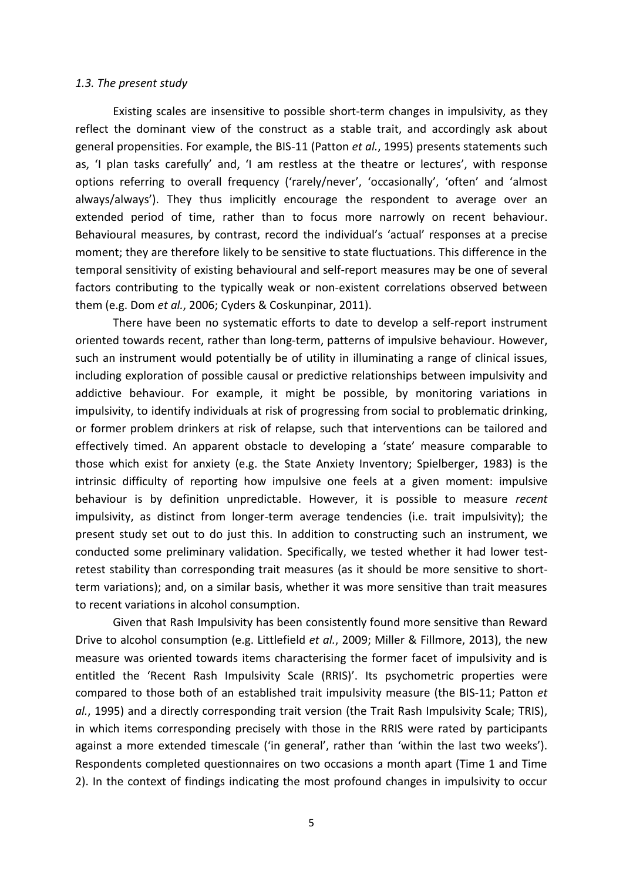#### *1.3. The present study*

Existing scales are insensitive to possible short-term changes in impulsivity, as they reflect the dominant view of the construct as a stable trait, and accordingly ask about general propensities. For example, the BIS-11 (Patton *et al.*, 1995) presents statements such as, 'I plan tasks carefully' and, 'I am restless at the theatre or lectures', with response options referring to overall frequency ('rarely/never', 'occasionally', 'often' and 'almost always/always'). They thus implicitly encourage the respondent to average over an extended period of time, rather than to focus more narrowly on recent behaviour. Behavioural measures, by contrast, record the individual's 'actual' responses at a precise moment; they are therefore likely to be sensitive to state fluctuations. This difference in the temporal sensitivity of existing behavioural and self-report measures may be one of several factors contributing to the typically weak or non-existent correlations observed between them (e.g. Dom *et al.*, 2006; Cyders & Coskunpinar, 2011).

There have been no systematic efforts to date to develop a self-report instrument oriented towards recent, rather than long-term, patterns of impulsive behaviour. However, such an instrument would potentially be of utility in illuminating a range of clinical issues, including exploration of possible causal or predictive relationships between impulsivity and addictive behaviour. For example, it might be possible, by monitoring variations in impulsivity, to identify individuals at risk of progressing from social to problematic drinking, or former problem drinkers at risk of relapse, such that interventions can be tailored and effectively timed. An apparent obstacle to developing a 'state' measure comparable to those which exist for anxiety (e.g. the State Anxiety Inventory; Spielberger, 1983) is the intrinsic difficulty of reporting how impulsive one feels at a given moment: impulsive behaviour is by definition unpredictable. However, it is possible to measure *recent* impulsivity, as distinct from longer-term average tendencies (i.e. trait impulsivity); the present study set out to do just this. In addition to constructing such an instrument, we conducted some preliminary validation. Specifically, we tested whether it had lower testretest stability than corresponding trait measures (as it should be more sensitive to shortterm variations); and, on a similar basis, whether it was more sensitive than trait measures to recent variations in alcohol consumption.

Given that Rash Impulsivity has been consistently found more sensitive than Reward Drive to alcohol consumption (e.g. Littlefield *et al.*, 2009; Miller & Fillmore, 2013), the new measure was oriented towards items characterising the former facet of impulsivity and is entitled the 'Recent Rash Impulsivity Scale (RRIS)'. Its psychometric properties were compared to those both of an established trait impulsivity measure (the BIS-11; Patton *et al.*, 1995) and a directly corresponding trait version (the Trait Rash Impulsivity Scale; TRIS), in which items corresponding precisely with those in the RRIS were rated by participants against a more extended timescale ('in general', rather than 'within the last two weeks'). Respondents completed questionnaires on two occasions a month apart (Time 1 and Time 2). In the context of findings indicating the most profound changes in impulsivity to occur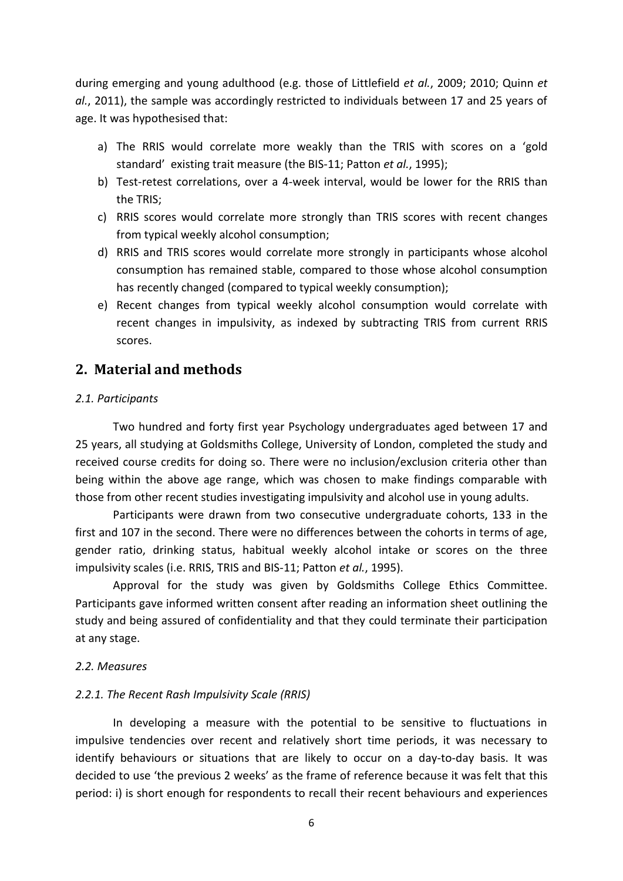during emerging and young adulthood (e.g. those of Littlefield *et al.*, 2009; 2010; Quinn *et al.*, 2011), the sample was accordingly restricted to individuals between 17 and 25 years of age. It was hypothesised that:

- a) The RRIS would correlate more weakly than the TRIS with scores on a 'gold standard' existing trait measure (the BIS-11; Patton *et al.*, 1995);
- b) Test-retest correlations, over a 4-week interval, would be lower for the RRIS than the TRIS;
- c) RRIS scores would correlate more strongly than TRIS scores with recent changes from typical weekly alcohol consumption;
- d) RRIS and TRIS scores would correlate more strongly in participants whose alcohol consumption has remained stable, compared to those whose alcohol consumption has recently changed (compared to typical weekly consumption);
- e) Recent changes from typical weekly alcohol consumption would correlate with recent changes in impulsivity, as indexed by subtracting TRIS from current RRIS scores.

## **2. Material and methods**

### *2.1. Participants*

Two hundred and forty first year Psychology undergraduates aged between 17 and 25 years, all studying at Goldsmiths College, University of London, completed the study and received course credits for doing so. There were no inclusion/exclusion criteria other than being within the above age range, which was chosen to make findings comparable with those from other recent studies investigating impulsivity and alcohol use in young adults.

Participants were drawn from two consecutive undergraduate cohorts, 133 in the first and 107 in the second. There were no differences between the cohorts in terms of age, gender ratio, drinking status, habitual weekly alcohol intake or scores on the three impulsivity scales (i.e. RRIS, TRIS and BIS-11; Patton *et al.*, 1995).

Approval for the study was given by Goldsmiths College Ethics Committee. Participants gave informed written consent after reading an information sheet outlining the study and being assured of confidentiality and that they could terminate their participation at any stage.

#### *2.2. Measures*

## *2.2.1. The Recent Rash Impulsivity Scale (RRIS)*

In developing a measure with the potential to be sensitive to fluctuations in impulsive tendencies over recent and relatively short time periods, it was necessary to identify behaviours or situations that are likely to occur on a day-to-day basis. It was decided to use 'the previous 2 weeks' as the frame of reference because it was felt that this period: i) is short enough for respondents to recall their recent behaviours and experiences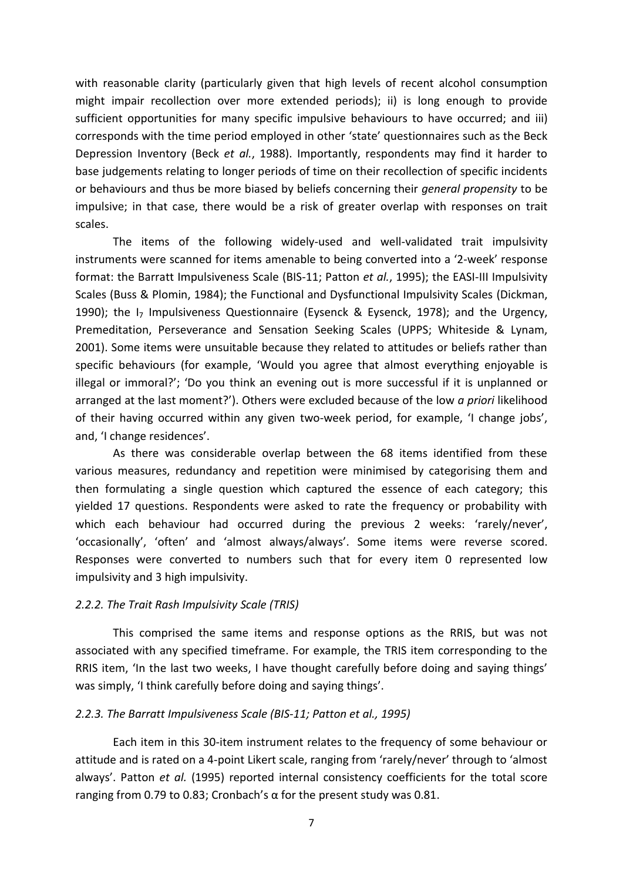with reasonable clarity (particularly given that high levels of recent alcohol consumption might impair recollection over more extended periods); ii) is long enough to provide sufficient opportunities for many specific impulsive behaviours to have occurred; and iii) corresponds with the time period employed in other 'state' questionnaires such as the Beck Depression Inventory (Beck *et al.*, 1988). Importantly, respondents may find it harder to base judgements relating to longer periods of time on their recollection of specific incidents or behaviours and thus be more biased by beliefs concerning their *general propensity* to be impulsive; in that case, there would be a risk of greater overlap with responses on trait scales.

The items of the following widely-used and well-validated trait impulsivity instruments were scanned for items amenable to being converted into a '2-week' response format: the Barratt Impulsiveness Scale (BIS-11; Patton *et al.*, 1995); the EASI-III Impulsivity Scales (Buss & Plomin, 1984); the Functional and Dysfunctional Impulsivity Scales (Dickman, 1990); the I<sup>7</sup> Impulsiveness Questionnaire (Eysenck & Eysenck, 1978); and the Urgency, Premeditation, Perseverance and Sensation Seeking Scales (UPPS; Whiteside & Lynam, 2001). Some items were unsuitable because they related to attitudes or beliefs rather than specific behaviours (for example, 'Would you agree that almost everything enjoyable is illegal or immoral?'; 'Do you think an evening out is more successful if it is unplanned or arranged at the last moment?'). Others were excluded because of the low *a priori* likelihood of their having occurred within any given two-week period, for example, 'I change jobs', and, 'I change residences'.

As there was considerable overlap between the 68 items identified from these various measures, redundancy and repetition were minimised by categorising them and then formulating a single question which captured the essence of each category; this yielded 17 questions. Respondents were asked to rate the frequency or probability with which each behaviour had occurred during the previous 2 weeks: 'rarely/never', 'occasionally', 'often' and 'almost always/always'. Some items were reverse scored. Responses were converted to numbers such that for every item 0 represented low impulsivity and 3 high impulsivity.

#### *2.2.2. The Trait Rash Impulsivity Scale (TRIS)*

This comprised the same items and response options as the RRIS, but was not associated with any specified timeframe. For example, the TRIS item corresponding to the RRIS item, 'In the last two weeks, I have thought carefully before doing and saying things' was simply, 'I think carefully before doing and saying things'.

#### *2.2.3. The Barratt Impulsiveness Scale (BIS-11; Patton et al., 1995)*

Each item in this 30-item instrument relates to the frequency of some behaviour or attitude and is rated on a 4-point Likert scale, ranging from 'rarely/never' through to 'almost always'. Patton *et al.* (1995) reported internal consistency coefficients for the total score ranging from 0.79 to 0.83; Cronbach's α for the present study was 0.81.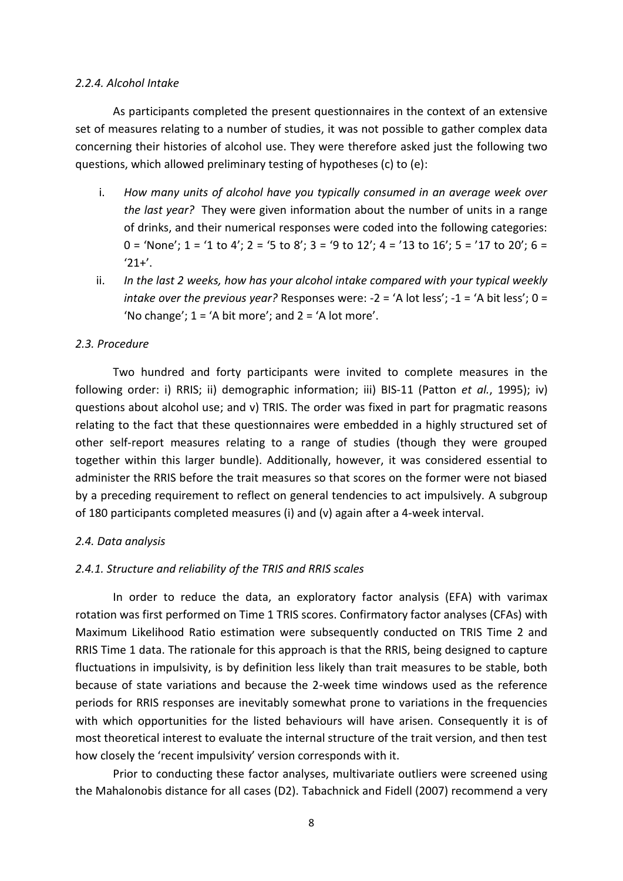#### *2.2.4. Alcohol Intake*

As participants completed the present questionnaires in the context of an extensive set of measures relating to a number of studies, it was not possible to gather complex data concerning their histories of alcohol use. They were therefore asked just the following two questions, which allowed preliminary testing of hypotheses (c) to (e):

- i. *How many units of alcohol have you typically consumed in an average week over the last year?* They were given information about the number of units in a range of drinks, and their numerical responses were coded into the following categories: 0 = 'None'; 1 = '1 to 4'; 2 = '5 to 8'; 3 = '9 to 12'; 4 = '13 to 16'; 5 = '17 to 20'; 6 =  $'21+'$ .
- ii. *In the last 2 weeks, how has your alcohol intake compared with your typical weekly intake over the previous year?* Responses were: -2 = 'A lot less'; -1 = 'A bit less'; 0 = 'No change';  $1 = 'A$  bit more'; and  $2 = 'A$  lot more'.

## *2.3. Procedure*

Two hundred and forty participants were invited to complete measures in the following order: i) RRIS; ii) demographic information; iii) BIS-11 (Patton *et al.*, 1995); iv) questions about alcohol use; and v) TRIS. The order was fixed in part for pragmatic reasons relating to the fact that these questionnaires were embedded in a highly structured set of other self-report measures relating to a range of studies (though they were grouped together within this larger bundle). Additionally, however, it was considered essential to administer the RRIS before the trait measures so that scores on the former were not biased by a preceding requirement to reflect on general tendencies to act impulsively. A subgroup of 180 participants completed measures (i) and (v) again after a 4-week interval.

#### *2.4. Data analysis*

#### *2.4.1. Structure and reliability of the TRIS and RRIS scales*

In order to reduce the data, an exploratory factor analysis (EFA) with varimax rotation was first performed on Time 1 TRIS scores. Confirmatory factor analyses (CFAs) with Maximum Likelihood Ratio estimation were subsequently conducted on TRIS Time 2 and RRIS Time 1 data. The rationale for this approach is that the RRIS, being designed to capture fluctuations in impulsivity, is by definition less likely than trait measures to be stable, both because of state variations and because the 2-week time windows used as the reference periods for RRIS responses are inevitably somewhat prone to variations in the frequencies with which opportunities for the listed behaviours will have arisen. Consequently it is of most theoretical interest to evaluate the internal structure of the trait version, and then test how closely the 'recent impulsivity' version corresponds with it.

Prior to conducting these factor analyses, multivariate outliers were screened using the Mahalonobis distance for all cases (D2). Tabachnick and Fidell (2007) recommend a very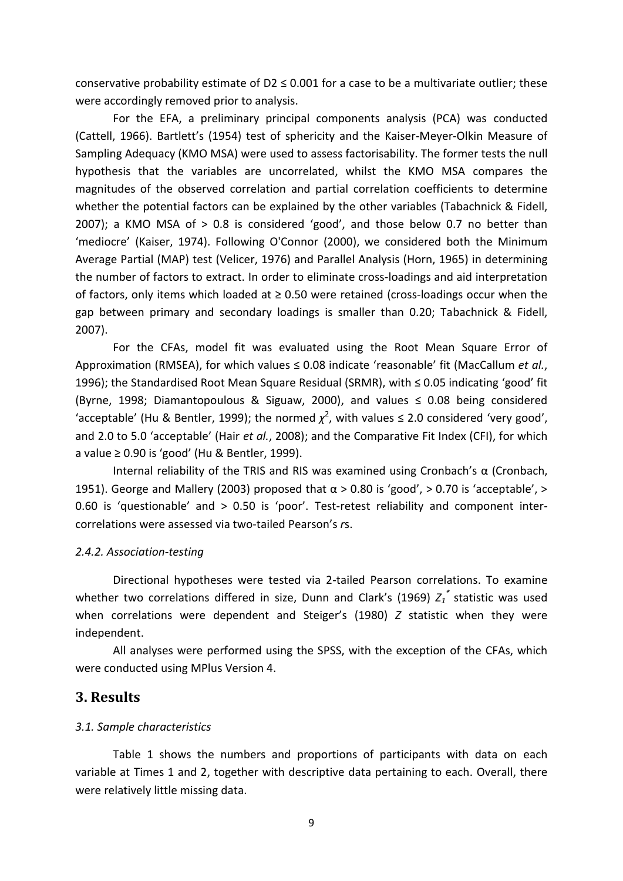conservative probability estimate of  $D2 \le 0.001$  for a case to be a multivariate outlier; these were accordingly removed prior to analysis.

For the EFA, a preliminary principal components analysis (PCA) was conducted (Cattell, 1966). Bartlett's (1954) test of sphericity and the Kaiser-Meyer-Olkin Measure of Sampling Adequacy (KMO MSA) were used to assess factorisability. The former tests the null hypothesis that the variables are uncorrelated, whilst the KMO MSA compares the magnitudes of the observed correlation and partial correlation coefficients to determine whether the potential factors can be explained by the other variables (Tabachnick & Fidell, 2007); a KMO MSA of > 0.8 is considered 'good', and those below 0.7 no better than 'mediocre' (Kaiser, 1974). Following O'Connor (2000), we considered both the Minimum Average Partial (MAP) test (Velicer, 1976) and Parallel Analysis (Horn, 1965) in determining the number of factors to extract. In order to eliminate cross-loadings and aid interpretation of factors, only items which loaded at  $\geq$  0.50 were retained (cross-loadings occur when the gap between primary and secondary loadings is smaller than 0.20; Tabachnick & Fidell, 2007).

For the CFAs, model fit was evaluated using the Root Mean Square Error of Approximation (RMSEA), for which values ≤ 0.08 indicate 'reasonable' fit (MacCallum *et al.*, 1996); the Standardised Root Mean Square Residual (SRMR), with ≤ 0.05 indicating 'good' fit (Byrne, 1998; Diamantopoulous & Siguaw, 2000), and values  $\leq$  0.08 being considered 'acceptable' (Hu & Bentler, 1999); the normed  $\chi^2$ , with values  $\leq$  2.0 considered 'very good', and 2.0 to 5.0 'acceptable' (Hair *et al.*, 2008); and the Comparative Fit Index (CFI), for which a value  $\geq 0.90$  is 'good' (Hu & Bentler, 1999).

Internal reliability of the TRIS and RIS was examined using Cronbach's α (Cronbach, 1951). George and Mallery (2003) proposed that  $\alpha > 0.80$  is 'good',  $> 0.70$  is 'acceptable',  $>$ 0.60 is 'questionable' and > 0.50 is 'poor'. Test-retest reliability and component intercorrelations were assessed via two-tailed Pearson's *r*s.

#### *2.4.2. Association-testing*

Directional hypotheses were tested via 2-tailed Pearson correlations. To examine whether two correlations differed in size, Dunn and Clark's (1969) *Z<sup>1</sup> \** statistic was used when correlations were dependent and Steiger's (1980) *Z* statistic when they were independent.

All analyses were performed using the SPSS, with the exception of the CFAs, which were conducted using MPlus Version 4.

## **3. Results**

### *3.1. Sample characteristics*

Table 1 shows the numbers and proportions of participants with data on each variable at Times 1 and 2, together with descriptive data pertaining to each. Overall, there were relatively little missing data.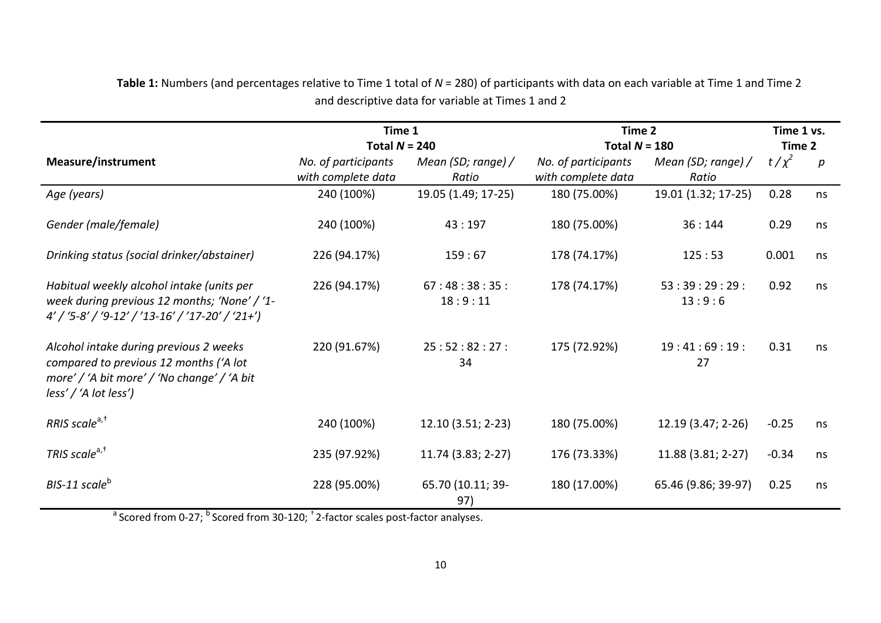|                                                                                                                                                          | Time 1<br>Total $N = 240$                 |                             | Time 2<br>Total $N = 180$                 |                             | Time 1 vs.<br>Time 2 |    |
|----------------------------------------------------------------------------------------------------------------------------------------------------------|-------------------------------------------|-----------------------------|-------------------------------------------|-----------------------------|----------------------|----|
| Measure/instrument                                                                                                                                       | No. of participants<br>with complete data | Mean (SD; range) /<br>Ratio | No. of participants<br>with complete data | Mean (SD; range) /<br>Ratio | $t/\chi^2$           | p  |
| Age (years)                                                                                                                                              | 240 (100%)                                | 19.05 (1.49; 17-25)         | 180 (75.00%)                              | 19.01 (1.32; 17-25)         | 0.28                 | ns |
| Gender (male/female)                                                                                                                                     | 240 (100%)                                | 43:197                      | 180 (75.00%)                              | 36:144                      | 0.29                 | ns |
| Drinking status (social drinker/abstainer)                                                                                                               | 226 (94.17%)                              | 159:67                      | 178 (74.17%)                              | 125:53                      | 0.001                | ns |
| Habitual weekly alcohol intake (units per<br>week during previous 12 months; 'None' / '1-<br>4' / '5-8' / '9-12' / '13-16' / '17-20' / '21+')            | 226 (94.17%)                              | 67:48:38:35:<br>18:9:11     | 178 (74.17%)                              | 53:39:29:29:<br>13:9:6      | 0.92                 | ns |
| Alcohol intake during previous 2 weeks<br>compared to previous 12 months ('A lot<br>more' / 'A bit more' / 'No change' / 'A bit<br>less' / 'A lot less') | 220 (91.67%)                              | 25:52:82:27:<br>34          | 175 (72.92%)                              | 19:41:69:19:<br>27          | 0.31                 | ns |
| RRIS scale <sup>a,†</sup>                                                                                                                                | 240 (100%)                                | 12.10 (3.51; 2-23)          | 180 (75.00%)                              | 12.19 (3.47; 2-26)          | $-0.25$              | ns |
| TRIS scale <sup>a,†</sup>                                                                                                                                | 235 (97.92%)                              | 11.74 (3.83; 2-27)          | 176 (73.33%)                              | 11.88 (3.81; 2-27)          | $-0.34$              | ns |
| $B$ IS-11 scale <sup>b</sup>                                                                                                                             | 228 (95.00%)                              | 65.70 (10.11; 39-<br>97)    | 180 (17.00%)                              | 65.46 (9.86; 39-97)         | 0.25                 | ns |

**Table 1:** Numbers (and percentages relative to Time 1 total of *N* = 280) of participants with data on each variable at Time 1 and Time 2 and descriptive data for variable at Times 1 and 2

<sup>a</sup> Scored from 0-27; <sup>b</sup> Scored from 30-120; <sup>†</sup> 2-factor scales post-factor analyses.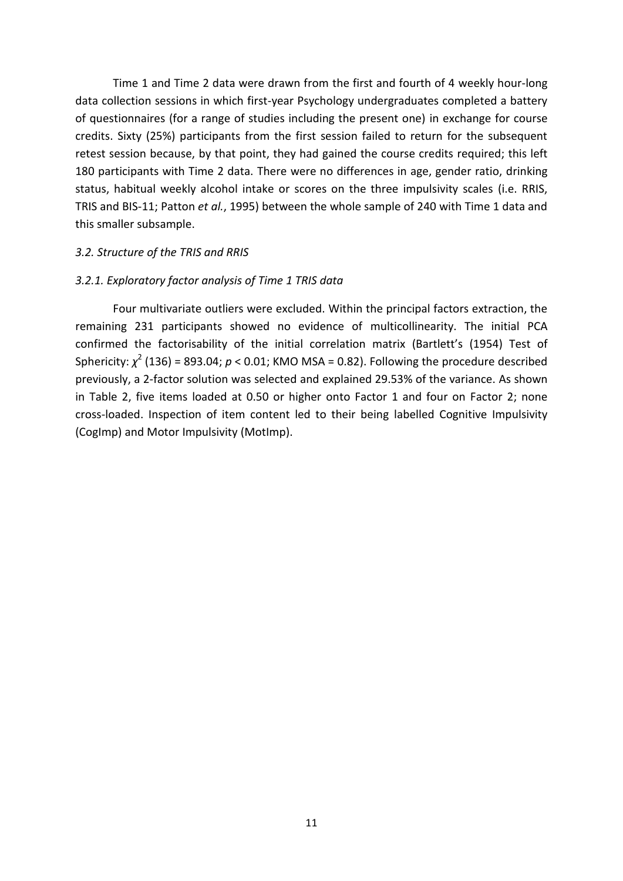Time 1 and Time 2 data were drawn from the first and fourth of 4 weekly hour-long data collection sessions in which first-year Psychology undergraduates completed a battery of questionnaires (for a range of studies including the present one) in exchange for course credits. Sixty (25%) participants from the first session failed to return for the subsequent retest session because, by that point, they had gained the course credits required; this left 180 participants with Time 2 data. There were no differences in age, gender ratio, drinking status, habitual weekly alcohol intake or scores on the three impulsivity scales (i.e. RRIS, TRIS and BIS-11; Patton *et al.*, 1995) between the whole sample of 240 with Time 1 data and this smaller subsample.

#### *3.2. Structure of the TRIS and RRIS*

### *3.2.1. Exploratory factor analysis of Time 1 TRIS data*

Four multivariate outliers were excluded. Within the principal factors extraction, the remaining 231 participants showed no evidence of multicollinearity. The initial PCA confirmed the factorisability of the initial correlation matrix (Bartlett's (1954) Test of Sphericity:  $\chi^2$  (136) = 893.04;  $p < 0.01$ ; KMO MSA = 0.82). Following the procedure described previously, a 2-factor solution was selected and explained 29.53% of the variance. As shown in Table 2, five items loaded at 0.50 or higher onto Factor 1 and four on Factor 2; none cross-loaded. Inspection of item content led to their being labelled Cognitive Impulsivity (CogImp) and Motor Impulsivity (MotImp).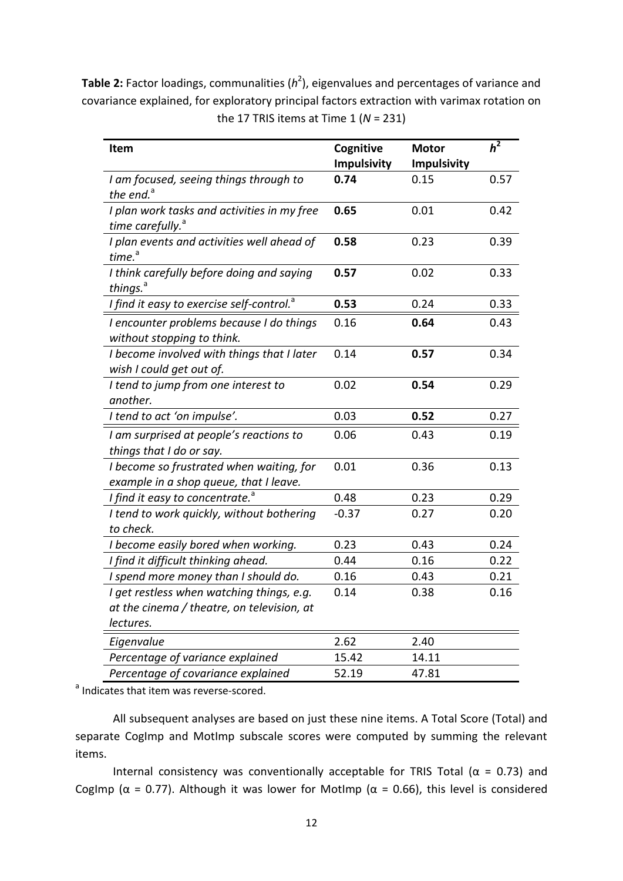**Table 2:** Factor loadings, communalities (h<sup>2</sup>), eigenvalues and percentages of variance and covariance explained, for exploratory principal factors extraction with varimax rotation on the 17 TRIS items at Time 1 (*N* = 231)

| Item                                                  | Cognitive          | <b>Motor</b>       | h <sup>2</sup> |
|-------------------------------------------------------|--------------------|--------------------|----------------|
|                                                       | <b>Impulsivity</b> | <b>Impulsivity</b> |                |
| I am focused, seeing things through to                | 0.74               | 0.15               | 0.57           |
| the end. $a$                                          |                    |                    |                |
| I plan work tasks and activities in my free           | 0.65               | 0.01               | 0.42           |
| time carefully. <sup>a</sup>                          |                    |                    |                |
| I plan events and activities well ahead of            | 0.58               | 0.23               | 0.39           |
| time. <sup>a</sup>                                    |                    |                    |                |
| I think carefully before doing and saying             | 0.57               | 0.02               | 0.33           |
| things. <sup>a</sup>                                  |                    |                    |                |
| I find it easy to exercise self-control. <sup>a</sup> | 0.53               | 0.24               | 0.33           |
| I encounter problems because I do things              | 0.16               | 0.64               | 0.43           |
| without stopping to think.                            |                    |                    |                |
| I become involved with things that I later            | 0.14               | 0.57               | 0.34           |
| wish I could get out of.                              |                    |                    |                |
| I tend to jump from one interest to                   | 0.02               | 0.54               | 0.29           |
| another.                                              |                    |                    |                |
| I tend to act 'on impulse'.                           | 0.03               | 0.52               | 0.27           |
| I am surprised at people's reactions to               | 0.06               | 0.43               | 0.19           |
| things that I do or say.                              |                    |                    |                |
| I become so frustrated when waiting, for              | 0.01               | 0.36               | 0.13           |
| example in a shop queue, that I leave.                |                    |                    |                |
| I find it easy to concentrate. <sup>a</sup>           | 0.48               | 0.23               | 0.29           |
| I tend to work quickly, without bothering             | $-0.37$            | 0.27               | 0.20           |
| to check.                                             |                    |                    |                |
| I become easily bored when working.                   | 0.23               | 0.43               | 0.24           |
| I find it difficult thinking ahead.                   | 0.44               | 0.16               | 0.22           |
| I spend more money than I should do.                  | 0.16               | 0.43               | 0.21           |
| I get restless when watching things, e.g.             | 0.14               | 0.38               | 0.16           |
| at the cinema / theatre, on television, at            |                    |                    |                |
| lectures.                                             |                    |                    |                |
| Eigenvalue                                            | 2.62               | 2.40               |                |
| Percentage of variance explained                      | 15.42              | 14.11              |                |
| Percentage of covariance explained                    | 52.19              | 47.81              |                |

a Indicates that item was reverse-scored.

All subsequent analyses are based on just these nine items. A Total Score (Total) and separate CogImp and MotImp subscale scores were computed by summing the relevant items.

Internal consistency was conventionally acceptable for TRIS Total ( $\alpha$  = 0.73) and CogImp ( $\alpha$  = 0.77). Although it was lower for MotImp ( $\alpha$  = 0.66), this level is considered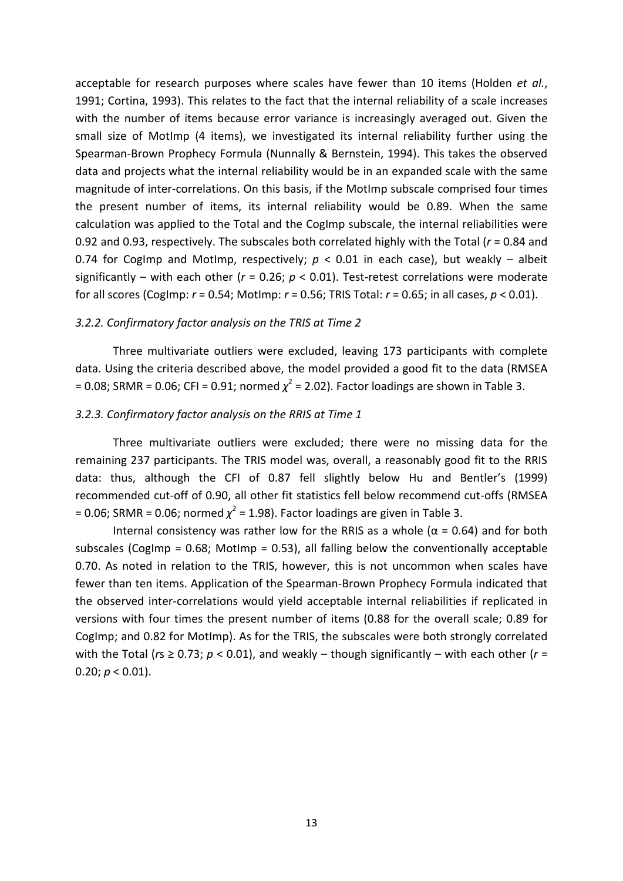acceptable for research purposes where scales have fewer than 10 items (Holden *et al.*, 1991; Cortina, 1993). This relates to the fact that the internal reliability of a scale increases with the number of items because error variance is increasingly averaged out. Given the small size of MotImp (4 items), we investigated its internal reliability further using the Spearman-Brown Prophecy Formula (Nunnally & Bernstein, 1994). This takes the observed data and projects what the internal reliability would be in an expanded scale with the same magnitude of inter-correlations. On this basis, if the MotImp subscale comprised four times the present number of items, its internal reliability would be 0.89. When the same calculation was applied to the Total and the CogImp subscale, the internal reliabilities were 0.92 and 0.93, respectively. The subscales both correlated highly with the Total (*r* = 0.84 and 0.74 for CogImp and MotImp, respectively;  $p < 0.01$  in each case), but weakly – albeit significantly – with each other ( $r = 0.26$ ;  $p < 0.01$ ). Test-retest correlations were moderate for all scores (CogImp: *r* = 0.54; MotImp: *r* = 0.56; TRIS Total: *r* = 0.65; in all cases, *p* < 0.01).

#### *3.2.2. Confirmatory factor analysis on the TRIS at Time 2*

Three multivariate outliers were excluded, leaving 173 participants with complete data. Using the criteria described above, the model provided a good fit to the data (RMSEA  $= 0.08$ ; SRMR = 0.06; CFI = 0.91; normed  $\chi^2$  = 2.02). Factor loadings are shown in Table 3.

#### *3.2.3. Confirmatory factor analysis on the RRIS at Time 1*

Three multivariate outliers were excluded; there were no missing data for the remaining 237 participants. The TRIS model was, overall, a reasonably good fit to the RRIS data: thus, although the CFI of 0.87 fell slightly below Hu and Bentler's (1999) recommended cut-off of 0.90, all other fit statistics fell below recommend cut-offs (RMSEA  $=$  0.06; SRMR = 0.06; normed  $\chi^2$  = 1.98). Factor loadings are given in Table 3.

Internal consistency was rather low for the RRIS as a whole ( $\alpha$  = 0.64) and for both subscales (CogImp =  $0.68$ ; MotImp =  $0.53$ ), all falling below the conventionally acceptable 0.70. As noted in relation to the TRIS, however, this is not uncommon when scales have fewer than ten items. Application of the Spearman-Brown Prophecy Formula indicated that the observed inter-correlations would yield acceptable internal reliabilities if replicated in versions with four times the present number of items (0.88 for the overall scale; 0.89 for CogImp; and 0.82 for MotImp). As for the TRIS, the subscales were both strongly correlated with the Total ( $rs \ge 0.73$ ;  $p < 0.01$ ), and weakly – though significantly – with each other ( $r =$ 0.20;  $p < 0.01$ ).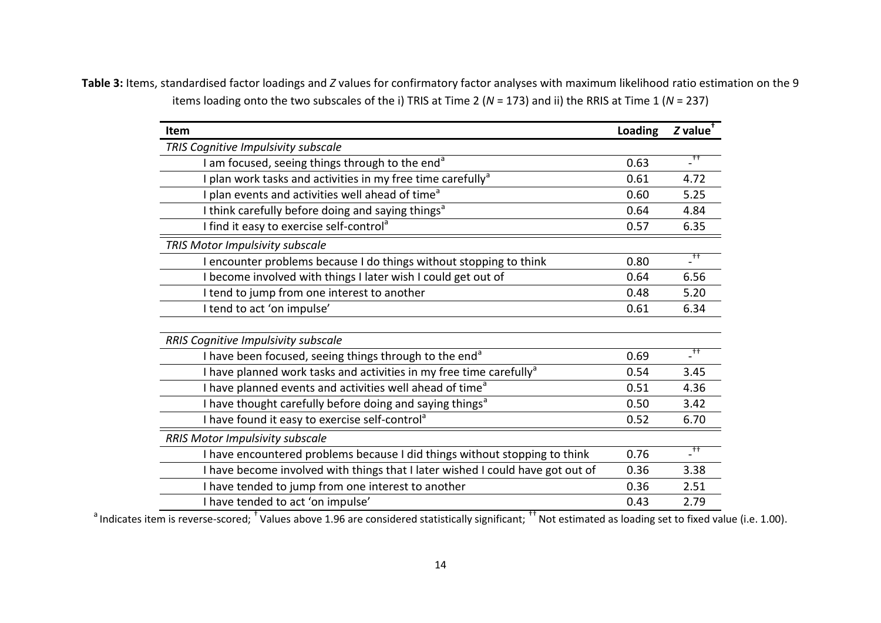| Item                                                                            | Loading | $Z$ value <sup><math>†</math></sup> |
|---------------------------------------------------------------------------------|---------|-------------------------------------|
| TRIS Cognitive Impulsivity subscale                                             |         |                                     |
| I am focused, seeing things through to the end <sup>a</sup>                     | 0.63    | $\overline{11}$                     |
| I plan work tasks and activities in my free time carefully <sup>a</sup>         | 0.61    | 4.72                                |
| I plan events and activities well ahead of time <sup>a</sup>                    | 0.60    | 5.25                                |
| I think carefully before doing and saying things <sup>a</sup>                   | 0.64    | 4.84                                |
| I find it easy to exercise self-control <sup>a</sup>                            | 0.57    | 6.35                                |
| TRIS Motor Impulsivity subscale                                                 |         |                                     |
| I encounter problems because I do things without stopping to think              | 0.80    | $1 +$                               |
| I become involved with things I later wish I could get out of                   | 0.64    | 6.56                                |
| I tend to jump from one interest to another                                     | 0.48    | 5.20                                |
| I tend to act 'on impulse'                                                      | 0.61    | 6.34                                |
| RRIS Cognitive Impulsivity subscale                                             |         |                                     |
| I have been focused, seeing things through to the end <sup>a</sup>              | 0.69    | $^{++}$                             |
| I have planned work tasks and activities in my free time carefully <sup>a</sup> | 0.54    | 3.45                                |
| I have planned events and activities well ahead of time <sup>a</sup>            | 0.51    | 4.36                                |
| I have thought carefully before doing and saying things <sup>a</sup>            | 0.50    | 3.42                                |
| I have found it easy to exercise self-control <sup>ª</sup>                      | 0.52    | 6.70                                |
| <b>RRIS Motor Impulsivity subscale</b>                                          |         |                                     |
| I have encountered problems because I did things without stopping to think      | 0.76    | $\overline{\phantom{a}^{++}}$       |
| I have become involved with things that I later wished I could have got out of  | 0.36    | 3.38                                |
| I have tended to jump from one interest to another                              | 0.36    | 2.51                                |
| I have tended to act 'on impulse'                                               | 0.43    | 2.79                                |

**Table 3:** Items, standardised factor loadings and *Z* values for confirmatory factor analyses with maximum likelihood ratio estimation on the 9 items loading onto the two subscales of the i) TRIS at Time 2 (*N* = 173) and ii) the RRIS at Time 1 (*N* = 237)

<sup>a</sup> Indicates item is reverse-scored; <sup>†</sup> Values above 1.96 are considered statistically significant; <sup>††</sup> Not estimated as loading set to fixed value (i.e. 1.00).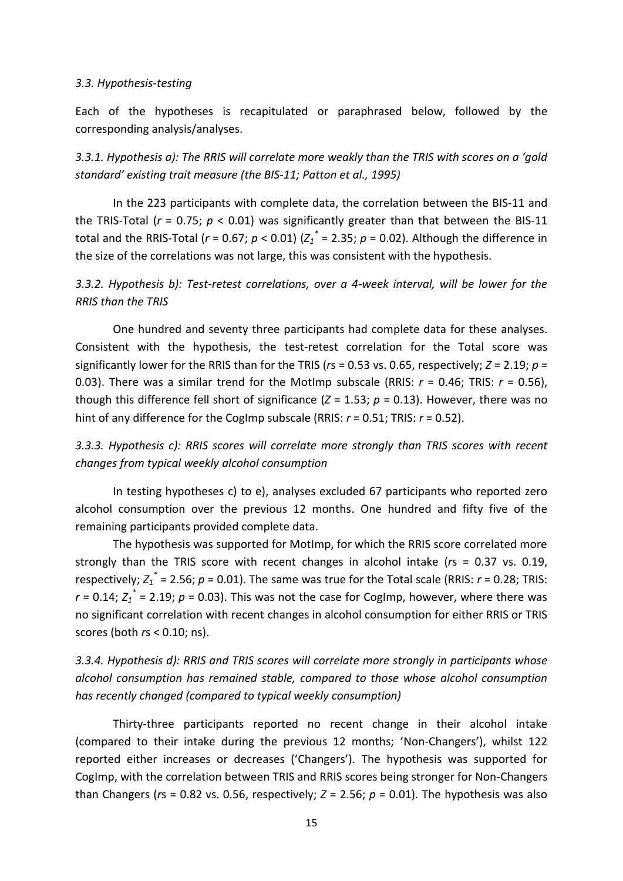#### *3.3. Hypothesis-testing*

Each of the hypotheses is recapitulated or paraphrased below, followed by the corresponding analysis/analyses.

*3.3.1. Hypothesis a): The RRIS will correlate more weakly than the TRIS with scores on a 'gold standard' existing trait measure (the BIS-11; Patton et al., 1995)*

In the 223 participants with complete data, the correlation between the BIS-11 and the TRIS-Total ( $r = 0.75$ ;  $p < 0.01$ ) was significantly greater than that between the BIS-11 total and the RRIS-Total ( $r = 0.67$ ;  $p < 0.01$ ) ( $Z_1^* = 2.35$ ;  $p = 0.02$ ). Although the difference in the size of the correlations was not large, this was consistent with the hypothesis.

## *3.3.2. Hypothesis b): Test-retest correlations, over a 4-week interval, will be lower for the RRIS than the TRIS*

One hundred and seventy three participants had complete data for these analyses. Consistent with the hypothesis, the test-retest correlation for the Total score was significantly lower for the RRIS than for the TRIS (*r*s = 0.53 vs. 0.65, respectively; *Z* = 2.19; *p* = 0.03). There was a similar trend for the MotImp subscale (RRIS: *r* = 0.46; TRIS: *r* = 0.56), though this difference fell short of significance (*Z* = 1.53; *p* = 0.13). However, there was no hint of any difference for the CogImp subscale (RRIS: *r* = 0.51; TRIS: *r* = 0.52).

*3.3.3. Hypothesis c): RRIS scores will correlate more strongly than TRIS scores with recent changes from typical weekly alcohol consumption*

In testing hypotheses c) to e), analyses excluded 67 participants who reported zero alcohol consumption over the previous 12 months. One hundred and fifty five of the remaining participants provided complete data.

The hypothesis was supported for MotImp, for which the RRIS score correlated more strongly than the TRIS score with recent changes in alcohol intake (*r*s = 0.37 vs. 0.19, respectively;  $Z_1^*$  = 2.56;  $p$  = 0.01). The same was true for the Total scale (RRIS:  $r$  = 0.28; TRIS:  $r = 0.14$ ;  $Z_1^* = 2.19$ ;  $p = 0.03$ ). This was not the case for CogImp, however, where there was no significant correlation with recent changes in alcohol consumption for either RRIS or TRIS scores (both *r*s < 0.10; ns).

*3.3.4. Hypothesis d): RRIS and TRIS scores will correlate more strongly in participants whose alcohol consumption has remained stable, compared to those whose alcohol consumption has recently changed (compared to typical weekly consumption)*

Thirty-three participants reported no recent change in their alcohol intake (compared to their intake during the previous 12 months; 'Non-Changers'), whilst 122 reported either increases or decreases ('Changers'). The hypothesis was supported for CogImp, with the correlation between TRIS and RRIS scores being stronger for Non-Changers than Changers ( $rs = 0.82$  vs. 0.56, respectively;  $Z = 2.56$ ;  $p = 0.01$ ). The hypothesis was also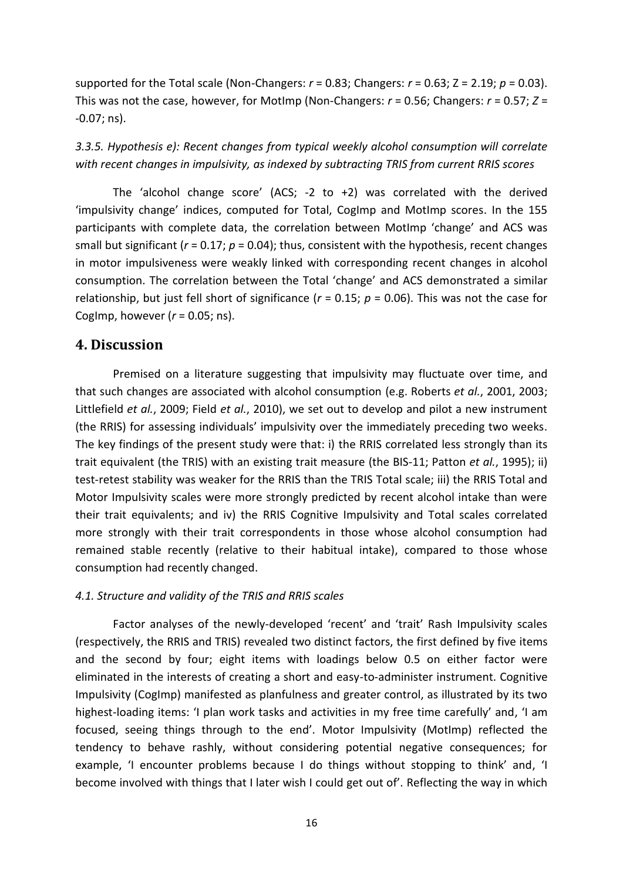supported for the Total scale (Non-Changers:  $r = 0.83$ ; Changers:  $r = 0.63$ ;  $Z = 2.19$ ;  $p = 0.03$ ). This was not the case, however, for MotImp (Non-Changers: *r* = 0.56; Changers: *r* = 0.57; *Z* = -0.07; ns).

*3.3.5. Hypothesis e): Recent changes from typical weekly alcohol consumption will correlate with recent changes in impulsivity, as indexed by subtracting TRIS from current RRIS scores*

The 'alcohol change score' (ACS; -2 to +2) was correlated with the derived 'impulsivity change' indices, computed for Total, CogImp and MotImp scores. In the 155 participants with complete data, the correlation between MotImp 'change' and ACS was small but significant (*r* = 0.17; *p* = 0.04); thus, consistent with the hypothesis, recent changes in motor impulsiveness were weakly linked with corresponding recent changes in alcohol consumption. The correlation between the Total 'change' and ACS demonstrated a similar relationship, but just fell short of significance ( $r = 0.15$ ;  $p = 0.06$ ). This was not the case for CogImp, however (*r* = 0.05; ns).

## **4. Discussion**

Premised on a literature suggesting that impulsivity may fluctuate over time, and that such changes are associated with alcohol consumption (e.g. Roberts *et al.*, 2001, 2003; Littlefield *et al.*, 2009; Field *et al.*, 2010), we set out to develop and pilot a new instrument (the RRIS) for assessing individuals' impulsivity over the immediately preceding two weeks. The key findings of the present study were that: i) the RRIS correlated less strongly than its trait equivalent (the TRIS) with an existing trait measure (the BIS-11; Patton *et al.*, 1995); ii) test-retest stability was weaker for the RRIS than the TRIS Total scale; iii) the RRIS Total and Motor Impulsivity scales were more strongly predicted by recent alcohol intake than were their trait equivalents; and iv) the RRIS Cognitive Impulsivity and Total scales correlated more strongly with their trait correspondents in those whose alcohol consumption had remained stable recently (relative to their habitual intake), compared to those whose consumption had recently changed.

#### *4.1. Structure and validity of the TRIS and RRIS scales*

Factor analyses of the newly-developed 'recent' and 'trait' Rash Impulsivity scales (respectively, the RRIS and TRIS) revealed two distinct factors, the first defined by five items and the second by four; eight items with loadings below 0.5 on either factor were eliminated in the interests of creating a short and easy-to-administer instrument. Cognitive Impulsivity (CogImp) manifested as planfulness and greater control, as illustrated by its two highest-loading items: 'I plan work tasks and activities in my free time carefully' and, 'I am focused, seeing things through to the end'. Motor Impulsivity (MotImp) reflected the tendency to behave rashly, without considering potential negative consequences; for example, 'I encounter problems because I do things without stopping to think' and, 'I become involved with things that I later wish I could get out of'. Reflecting the way in which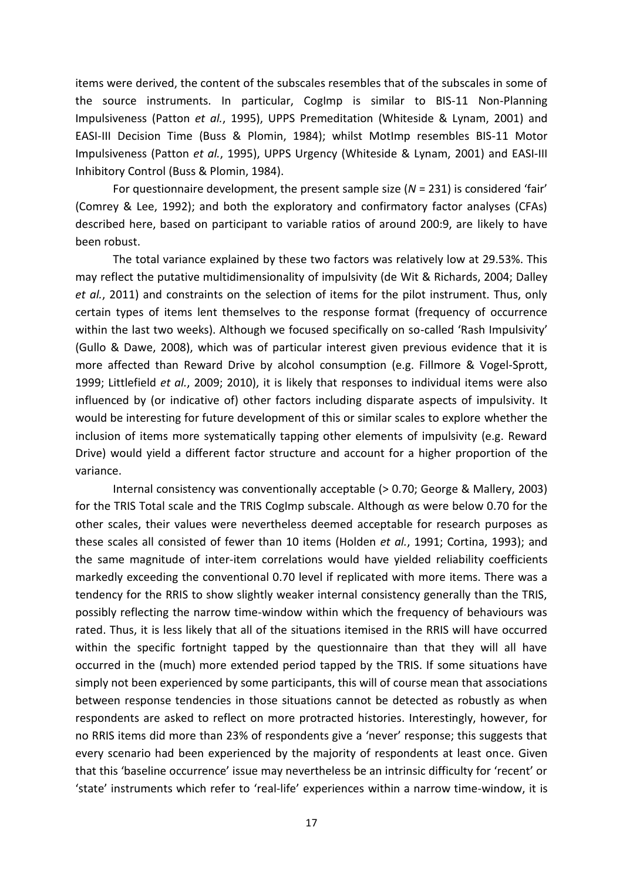items were derived, the content of the subscales resembles that of the subscales in some of the source instruments. In particular, CogImp is similar to BIS-11 Non-Planning Impulsiveness (Patton *et al.*, 1995), UPPS Premeditation (Whiteside & Lynam, 2001) and EASI-III Decision Time (Buss & Plomin, 1984); whilst MotImp resembles BIS-11 Motor Impulsiveness (Patton *et al.*, 1995), UPPS Urgency (Whiteside & Lynam, 2001) and EASI-III Inhibitory Control (Buss & Plomin, 1984).

For questionnaire development, the present sample size (*N* = 231) is considered 'fair' (Comrey & Lee, 1992); and both the exploratory and confirmatory factor analyses (CFAs) described here, based on participant to variable ratios of around 200:9, are likely to have been robust.

The total variance explained by these two factors was relatively low at 29.53%. This may reflect the putative multidimensionality of impulsivity (de Wit & Richards, 2004; Dalley *et al.*, 2011) and constraints on the selection of items for the pilot instrument. Thus, only certain types of items lent themselves to the response format (frequency of occurrence within the last two weeks). Although we focused specifically on so-called 'Rash Impulsivity' (Gullo & Dawe, 2008), which was of particular interest given previous evidence that it is more affected than Reward Drive by alcohol consumption (e.g. Fillmore & Vogel-Sprott, 1999; Littlefield *et al.*, 2009; 2010), it is likely that responses to individual items were also influenced by (or indicative of) other factors including disparate aspects of impulsivity. It would be interesting for future development of this or similar scales to explore whether the inclusion of items more systematically tapping other elements of impulsivity (e.g. Reward Drive) would yield a different factor structure and account for a higher proportion of the variance.

Internal consistency was conventionally acceptable (> 0.70; George & Mallery, 2003) for the TRIS Total scale and the TRIS CogImp subscale. Although αs were below 0.70 for the other scales, their values were nevertheless deemed acceptable for research purposes as these scales all consisted of fewer than 10 items (Holden *et al.*, 1991; Cortina, 1993); and the same magnitude of inter-item correlations would have yielded reliability coefficients markedly exceeding the conventional 0.70 level if replicated with more items. There was a tendency for the RRIS to show slightly weaker internal consistency generally than the TRIS, possibly reflecting the narrow time-window within which the frequency of behaviours was rated. Thus, it is less likely that all of the situations itemised in the RRIS will have occurred within the specific fortnight tapped by the questionnaire than that they will all have occurred in the (much) more extended period tapped by the TRIS. If some situations have simply not been experienced by some participants, this will of course mean that associations between response tendencies in those situations cannot be detected as robustly as when respondents are asked to reflect on more protracted histories. Interestingly, however, for no RRIS items did more than 23% of respondents give a 'never' response; this suggests that every scenario had been experienced by the majority of respondents at least once. Given that this 'baseline occurrence' issue may nevertheless be an intrinsic difficulty for 'recent' or 'state' instruments which refer to 'real-life' experiences within a narrow time-window, it is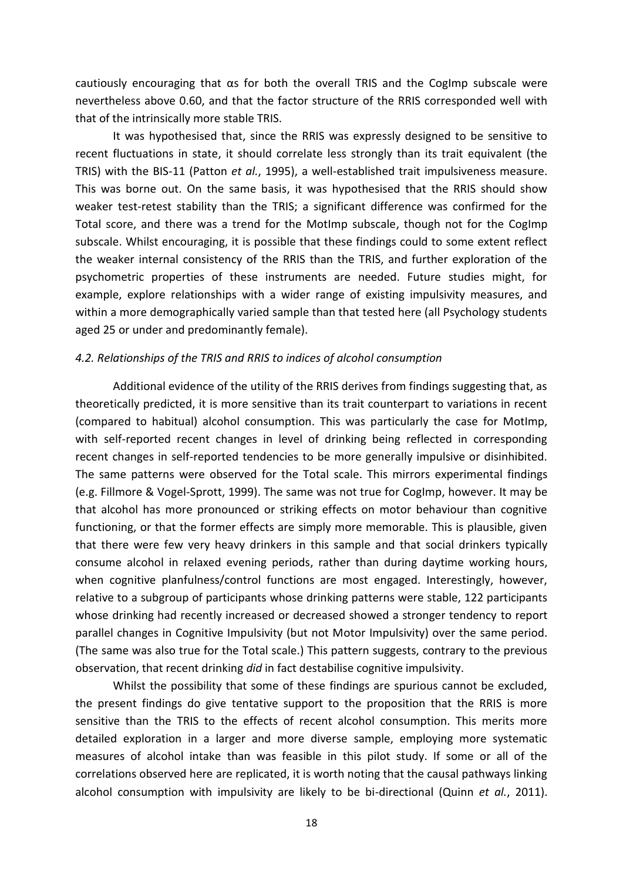cautiously encouraging that αs for both the overall TRIS and the CogImp subscale were nevertheless above 0.60, and that the factor structure of the RRIS corresponded well with that of the intrinsically more stable TRIS.

It was hypothesised that, since the RRIS was expressly designed to be sensitive to recent fluctuations in state, it should correlate less strongly than its trait equivalent (the TRIS) with the BIS-11 (Patton *et al.*, 1995), a well-established trait impulsiveness measure. This was borne out. On the same basis, it was hypothesised that the RRIS should show weaker test-retest stability than the TRIS; a significant difference was confirmed for the Total score, and there was a trend for the MotImp subscale, though not for the CogImp subscale. Whilst encouraging, it is possible that these findings could to some extent reflect the weaker internal consistency of the RRIS than the TRIS, and further exploration of the psychometric properties of these instruments are needed. Future studies might, for example, explore relationships with a wider range of existing impulsivity measures, and within a more demographically varied sample than that tested here (all Psychology students aged 25 or under and predominantly female).

#### *4.2. Relationships of the TRIS and RRIS to indices of alcohol consumption*

Additional evidence of the utility of the RRIS derives from findings suggesting that, as theoretically predicted, it is more sensitive than its trait counterpart to variations in recent (compared to habitual) alcohol consumption. This was particularly the case for MotImp, with self-reported recent changes in level of drinking being reflected in corresponding recent changes in self-reported tendencies to be more generally impulsive or disinhibited. The same patterns were observed for the Total scale. This mirrors experimental findings (e.g. Fillmore & Vogel-Sprott, 1999). The same was not true for CogImp, however. It may be that alcohol has more pronounced or striking effects on motor behaviour than cognitive functioning, or that the former effects are simply more memorable. This is plausible, given that there were few very heavy drinkers in this sample and that social drinkers typically consume alcohol in relaxed evening periods, rather than during daytime working hours, when cognitive planfulness/control functions are most engaged. Interestingly, however, relative to a subgroup of participants whose drinking patterns were stable, 122 participants whose drinking had recently increased or decreased showed a stronger tendency to report parallel changes in Cognitive Impulsivity (but not Motor Impulsivity) over the same period. (The same was also true for the Total scale.) This pattern suggests, contrary to the previous observation, that recent drinking *did* in fact destabilise cognitive impulsivity.

Whilst the possibility that some of these findings are spurious cannot be excluded, the present findings do give tentative support to the proposition that the RRIS is more sensitive than the TRIS to the effects of recent alcohol consumption. This merits more detailed exploration in a larger and more diverse sample, employing more systematic measures of alcohol intake than was feasible in this pilot study. If some or all of the correlations observed here are replicated, it is worth noting that the causal pathways linking alcohol consumption with impulsivity are likely to be bi-directional (Quinn *et al.*, 2011).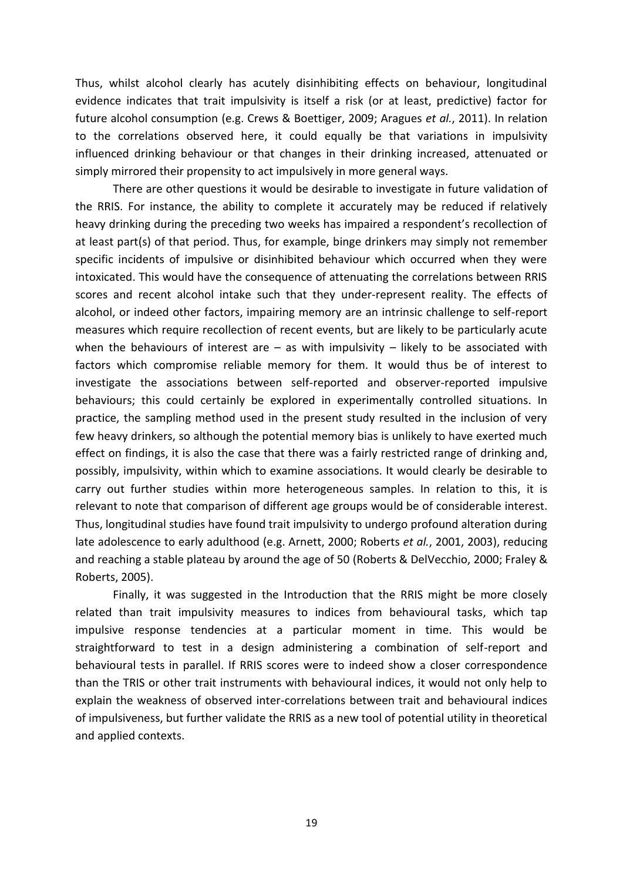Thus, whilst alcohol clearly has acutely disinhibiting effects on behaviour, longitudinal evidence indicates that trait impulsivity is itself a risk (or at least, predictive) factor for future alcohol consumption (e.g. Crews & Boettiger, 2009; Aragues *et al.*, 2011). In relation to the correlations observed here, it could equally be that variations in impulsivity influenced drinking behaviour or that changes in their drinking increased, attenuated or simply mirrored their propensity to act impulsively in more general ways.

There are other questions it would be desirable to investigate in future validation of the RRIS. For instance, the ability to complete it accurately may be reduced if relatively heavy drinking during the preceding two weeks has impaired a respondent's recollection of at least part(s) of that period. Thus, for example, binge drinkers may simply not remember specific incidents of impulsive or disinhibited behaviour which occurred when they were intoxicated. This would have the consequence of attenuating the correlations between RRIS scores and recent alcohol intake such that they under-represent reality. The effects of alcohol, or indeed other factors, impairing memory are an intrinsic challenge to self-report measures which require recollection of recent events, but are likely to be particularly acute when the behaviours of interest are  $-$  as with impulsivity  $-$  likely to be associated with factors which compromise reliable memory for them. It would thus be of interest to investigate the associations between self-reported and observer-reported impulsive behaviours; this could certainly be explored in experimentally controlled situations. In practice, the sampling method used in the present study resulted in the inclusion of very few heavy drinkers, so although the potential memory bias is unlikely to have exerted much effect on findings, it is also the case that there was a fairly restricted range of drinking and, possibly, impulsivity, within which to examine associations. It would clearly be desirable to carry out further studies within more heterogeneous samples. In relation to this, it is relevant to note that comparison of different age groups would be of considerable interest. Thus, longitudinal studies have found trait impulsivity to undergo profound alteration during late adolescence to early adulthood (e.g. Arnett, 2000; Roberts *et al.*, 2001, 2003), reducing and reaching a stable plateau by around the age of 50 (Roberts & DelVecchio, 2000; Fraley & Roberts, 2005).

Finally, it was suggested in the Introduction that the RRIS might be more closely related than trait impulsivity measures to indices from behavioural tasks, which tap impulsive response tendencies at a particular moment in time. This would be straightforward to test in a design administering a combination of self-report and behavioural tests in parallel. If RRIS scores were to indeed show a closer correspondence than the TRIS or other trait instruments with behavioural indices, it would not only help to explain the weakness of observed inter-correlations between trait and behavioural indices of impulsiveness, but further validate the RRIS as a new tool of potential utility in theoretical and applied contexts.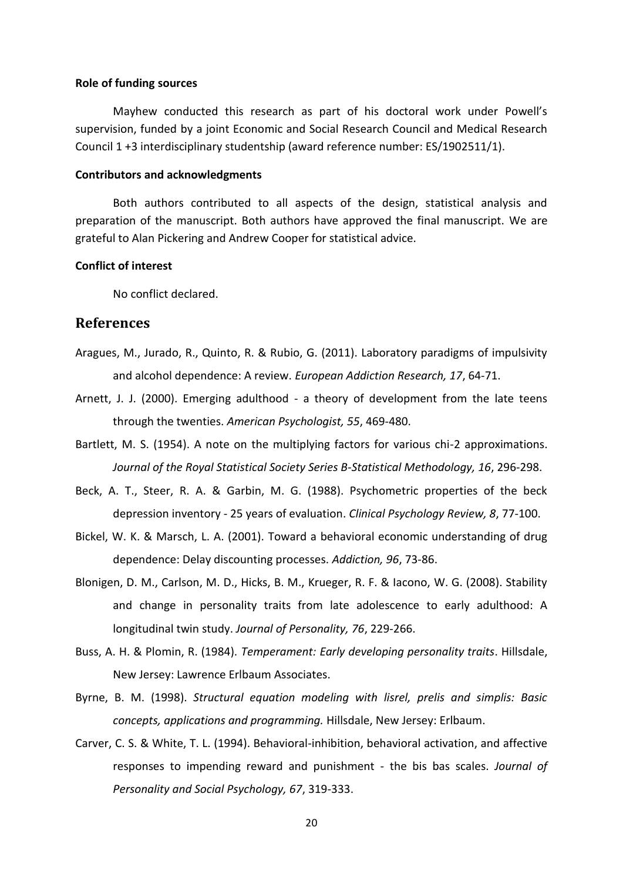#### **Role of funding sources**

Mayhew conducted this research as part of his doctoral work under Powell's supervision, funded by a joint Economic and Social Research Council and Medical Research Council 1 +3 interdisciplinary studentship (award reference number: ES/1902511/1).

#### **Contributors and acknowledgments**

Both authors contributed to all aspects of the design, statistical analysis and preparation of the manuscript. Both authors have approved the final manuscript. We are grateful to Alan Pickering and Andrew Cooper for statistical advice.

#### **Conflict of interest**

No conflict declared.

## **References**

- Aragues, M., Jurado, R., Quinto, R. & Rubio, G. (2011). Laboratory paradigms of impulsivity and alcohol dependence: A review. *European Addiction Research, 17*, 64-71.
- Arnett, J. J. (2000). Emerging adulthood a theory of development from the late teens through the twenties. *American Psychologist, 55*, 469-480.
- Bartlett, M. S. (1954). A note on the multiplying factors for various chi-2 approximations. *Journal of the Royal Statistical Society Series B-Statistical Methodology, 16*, 296-298.
- Beck, A. T., Steer, R. A. & Garbin, M. G. (1988). Psychometric properties of the beck depression inventory - 25 years of evaluation. *Clinical Psychology Review, 8*, 77-100.
- Bickel, W. K. & Marsch, L. A. (2001). Toward a behavioral economic understanding of drug dependence: Delay discounting processes. *Addiction, 96*, 73-86.
- Blonigen, D. M., Carlson, M. D., Hicks, B. M., Krueger, R. F. & Iacono, W. G. (2008). Stability and change in personality traits from late adolescence to early adulthood: A longitudinal twin study. *Journal of Personality, 76*, 229-266.
- Buss, A. H. & Plomin, R. (1984). *Temperament: Early developing personality traits*. Hillsdale, New Jersey: Lawrence Erlbaum Associates.
- Byrne, B. M. (1998). *Structural equation modeling with lisrel, prelis and simplis: Basic concepts, applications and programming.* Hillsdale, New Jersey: Erlbaum.
- Carver, C. S. & White, T. L. (1994). Behavioral-inhibition, behavioral activation, and affective responses to impending reward and punishment - the bis bas scales. *Journal of Personality and Social Psychology, 67*, 319-333.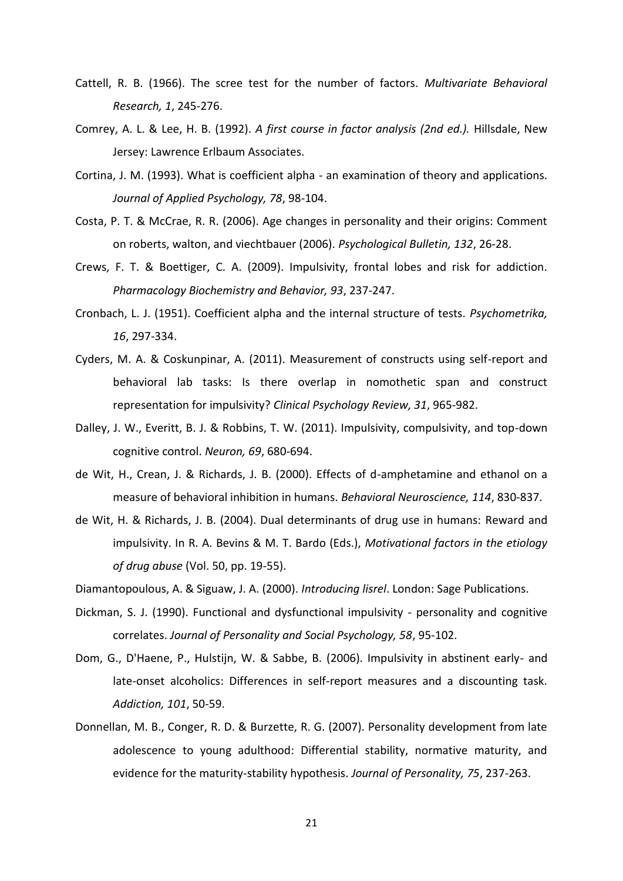- Cattell, R. B. (1966). The scree test for the number of factors. *Multivariate Behavioral Research, 1*, 245-276.
- Comrey, A. L. & Lee, H. B. (1992). *A first course in factor analysis (2nd ed.).* Hillsdale, New Jersey: Lawrence Erlbaum Associates.
- Cortina, J. M. (1993). What is coefficient alpha an examination of theory and applications. *Journal of Applied Psychology, 78*, 98-104.
- Costa, P. T. & McCrae, R. R. (2006). Age changes in personality and their origins: Comment on roberts, walton, and viechtbauer (2006). *Psychological Bulletin, 132*, 26-28.
- Crews, F. T. & Boettiger, C. A. (2009). Impulsivity, frontal lobes and risk for addiction. *Pharmacology Biochemistry and Behavior, 93*, 237-247.
- Cronbach, L. J. (1951). Coefficient alpha and the internal structure of tests. *Psychometrika, 16*, 297-334.
- Cyders, M. A. & Coskunpinar, A. (2011). Measurement of constructs using self-report and behavioral lab tasks: Is there overlap in nomothetic span and construct representation for impulsivity? *Clinical Psychology Review, 31*, 965-982.
- Dalley, J. W., Everitt, B. J. & Robbins, T. W. (2011). Impulsivity, compulsivity, and top-down cognitive control. *Neuron, 69*, 680-694.
- de Wit, H., Crean, J. & Richards, J. B. (2000). Effects of d-amphetamine and ethanol on a measure of behavioral inhibition in humans. *Behavioral Neuroscience, 114*, 830-837.
- de Wit, H. & Richards, J. B. (2004). Dual determinants of drug use in humans: Reward and impulsivity. In R. A. Bevins & M. T. Bardo (Eds.), *Motivational factors in the etiology of drug abuse* (Vol. 50, pp. 19-55).

Diamantopoulous, A. & Siguaw, J. A. (2000). *Introducing lisrel*. London: Sage Publications.

- Dickman, S. J. (1990). Functional and dysfunctional impulsivity personality and cognitive correlates. *Journal of Personality and Social Psychology, 58*, 95-102.
- Dom, G., D'Haene, P., Hulstijn, W. & Sabbe, B. (2006). Impulsivity in abstinent early- and late-onset alcoholics: Differences in self-report measures and a discounting task. *Addiction, 101*, 50-59.
- Donnellan, M. B., Conger, R. D. & Burzette, R. G. (2007). Personality development from late adolescence to young adulthood: Differential stability, normative maturity, and evidence for the maturity-stability hypothesis. *Journal of Personality, 75*, 237-263.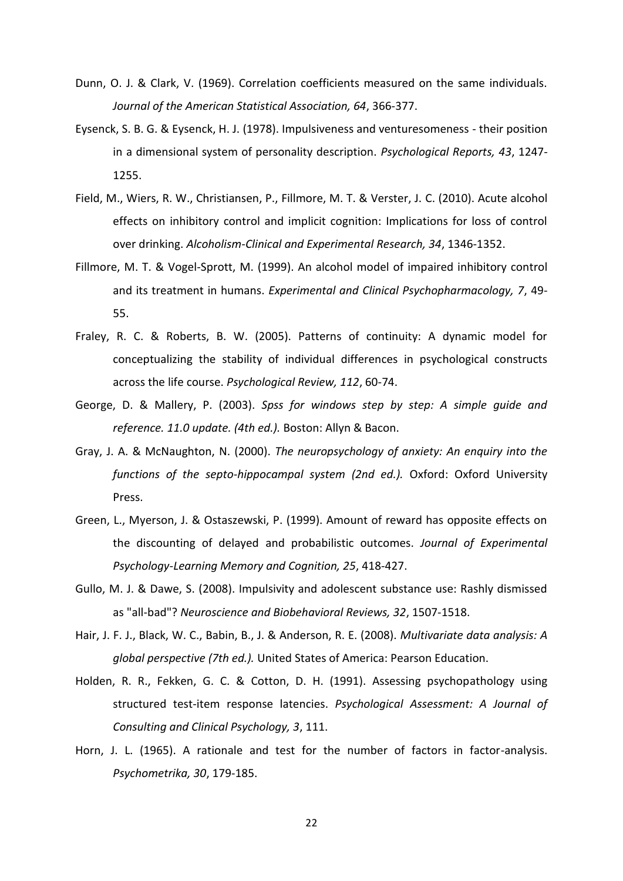- Dunn, O. J. & Clark, V. (1969). Correlation coefficients measured on the same individuals. *Journal of the American Statistical Association, 64*, 366-377.
- Eysenck, S. B. G. & Eysenck, H. J. (1978). Impulsiveness and venturesomeness their position in a dimensional system of personality description. *Psychological Reports, 43*, 1247- 1255.
- Field, M., Wiers, R. W., Christiansen, P., Fillmore, M. T. & Verster, J. C. (2010). Acute alcohol effects on inhibitory control and implicit cognition: Implications for loss of control over drinking. *Alcoholism-Clinical and Experimental Research, 34*, 1346-1352.
- Fillmore, M. T. & Vogel-Sprott, M. (1999). An alcohol model of impaired inhibitory control and its treatment in humans. *Experimental and Clinical Psychopharmacology, 7*, 49- 55.
- Fraley, R. C. & Roberts, B. W. (2005). Patterns of continuity: A dynamic model for conceptualizing the stability of individual differences in psychological constructs across the life course. *Psychological Review, 112*, 60-74.
- George, D. & Mallery, P. (2003). *Spss for windows step by step: A simple guide and reference. 11.0 update. (4th ed.).* Boston: Allyn & Bacon.
- Gray, J. A. & McNaughton, N. (2000). *The neuropsychology of anxiety: An enquiry into the functions of the septo-hippocampal system (2nd ed.).* Oxford: Oxford University Press.
- Green, L., Myerson, J. & Ostaszewski, P. (1999). Amount of reward has opposite effects on the discounting of delayed and probabilistic outcomes. *Journal of Experimental Psychology-Learning Memory and Cognition, 25*, 418-427.
- Gullo, M. J. & Dawe, S. (2008). Impulsivity and adolescent substance use: Rashly dismissed as "all-bad"? *Neuroscience and Biobehavioral Reviews, 32*, 1507-1518.
- Hair, J. F. J., Black, W. C., Babin, B., J. & Anderson, R. E. (2008). *Multivariate data analysis: A global perspective (7th ed.).* United States of America: Pearson Education.
- Holden, R. R., Fekken, G. C. & Cotton, D. H. (1991). Assessing psychopathology using structured test-item response latencies. *Psychological Assessment: A Journal of Consulting and Clinical Psychology, 3*, 111.
- Horn, J. L. (1965). A rationale and test for the number of factors in factor-analysis. *Psychometrika, 30*, 179-185.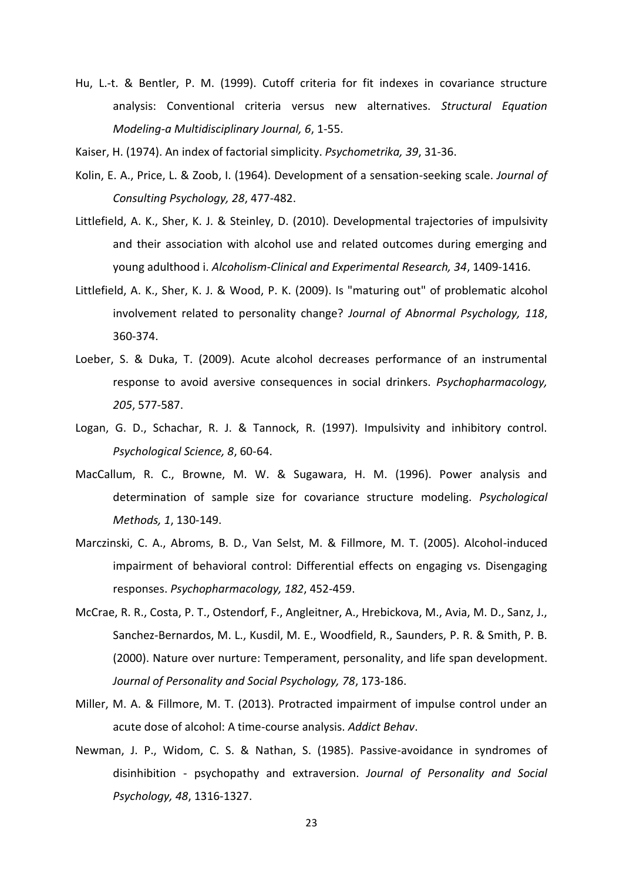Hu, L.-t. & Bentler, P. M. (1999). Cutoff criteria for fit indexes in covariance structure analysis: Conventional criteria versus new alternatives. *Structural Equation Modeling-a Multidisciplinary Journal, 6*, 1-55.

Kaiser, H. (1974). An index of factorial simplicity. *Psychometrika, 39*, 31-36.

- Kolin, E. A., Price, L. & Zoob, I. (1964). Development of a sensation-seeking scale. *Journal of Consulting Psychology, 28*, 477-482.
- Littlefield, A. K., Sher, K. J. & Steinley, D. (2010). Developmental trajectories of impulsivity and their association with alcohol use and related outcomes during emerging and young adulthood i. *Alcoholism-Clinical and Experimental Research, 34*, 1409-1416.
- Littlefield, A. K., Sher, K. J. & Wood, P. K. (2009). Is "maturing out" of problematic alcohol involvement related to personality change? *Journal of Abnormal Psychology, 118*, 360-374.
- Loeber, S. & Duka, T. (2009). Acute alcohol decreases performance of an instrumental response to avoid aversive consequences in social drinkers. *Psychopharmacology, 205*, 577-587.
- Logan, G. D., Schachar, R. J. & Tannock, R. (1997). Impulsivity and inhibitory control. *Psychological Science, 8*, 60-64.
- MacCallum, R. C., Browne, M. W. & Sugawara, H. M. (1996). Power analysis and determination of sample size for covariance structure modeling. *Psychological Methods, 1*, 130-149.
- Marczinski, C. A., Abroms, B. D., Van Selst, M. & Fillmore, M. T. (2005). Alcohol-induced impairment of behavioral control: Differential effects on engaging vs. Disengaging responses. *Psychopharmacology, 182*, 452-459.
- McCrae, R. R., Costa, P. T., Ostendorf, F., Angleitner, A., Hrebickova, M., Avia, M. D., Sanz, J., Sanchez-Bernardos, M. L., Kusdil, M. E., Woodfield, R., Saunders, P. R. & Smith, P. B. (2000). Nature over nurture: Temperament, personality, and life span development. *Journal of Personality and Social Psychology, 78*, 173-186.
- Miller, M. A. & Fillmore, M. T. (2013). Protracted impairment of impulse control under an acute dose of alcohol: A time-course analysis. *Addict Behav*.
- Newman, J. P., Widom, C. S. & Nathan, S. (1985). Passive-avoidance in syndromes of disinhibition - psychopathy and extraversion. *Journal of Personality and Social Psychology, 48*, 1316-1327.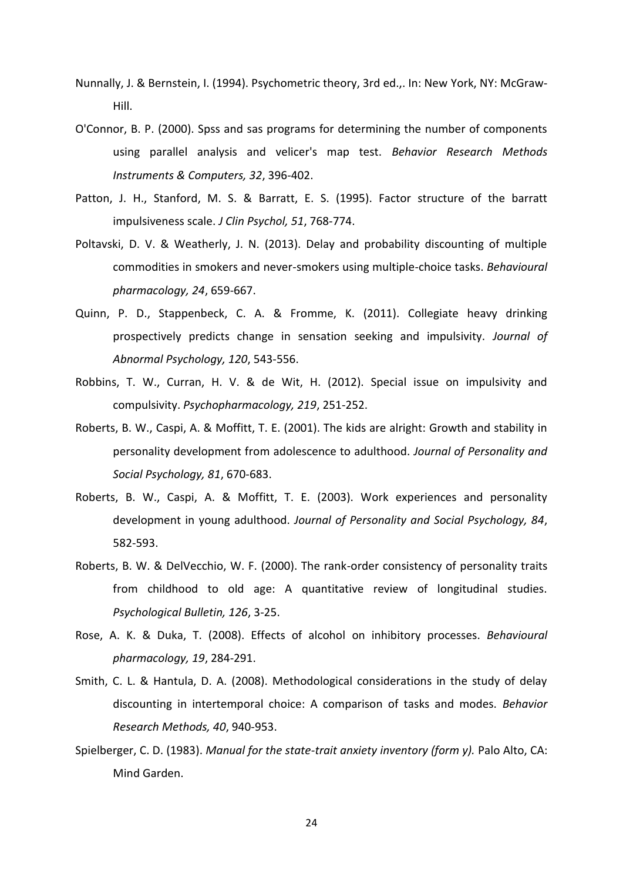- Nunnally, J. & Bernstein, I. (1994). Psychometric theory, 3rd ed.,. In: New York, NY: McGraw-Hill.
- O'Connor, B. P. (2000). Spss and sas programs for determining the number of components using parallel analysis and velicer's map test. *Behavior Research Methods Instruments & Computers, 32*, 396-402.
- Patton, J. H., Stanford, M. S. & Barratt, E. S. (1995). Factor structure of the barratt impulsiveness scale. *J Clin Psychol, 51*, 768-774.
- Poltavski, D. V. & Weatherly, J. N. (2013). Delay and probability discounting of multiple commodities in smokers and never-smokers using multiple-choice tasks. *Behavioural pharmacology, 24*, 659-667.
- Quinn, P. D., Stappenbeck, C. A. & Fromme, K. (2011). Collegiate heavy drinking prospectively predicts change in sensation seeking and impulsivity. *Journal of Abnormal Psychology, 120*, 543-556.
- Robbins, T. W., Curran, H. V. & de Wit, H. (2012). Special issue on impulsivity and compulsivity. *Psychopharmacology, 219*, 251-252.
- Roberts, B. W., Caspi, A. & Moffitt, T. E. (2001). The kids are alright: Growth and stability in personality development from adolescence to adulthood. *Journal of Personality and Social Psychology, 81*, 670-683.
- Roberts, B. W., Caspi, A. & Moffitt, T. E. (2003). Work experiences and personality development in young adulthood. *Journal of Personality and Social Psychology, 84*, 582-593.
- Roberts, B. W. & DelVecchio, W. F. (2000). The rank-order consistency of personality traits from childhood to old age: A quantitative review of longitudinal studies. *Psychological Bulletin, 126*, 3-25.
- Rose, A. K. & Duka, T. (2008). Effects of alcohol on inhibitory processes. *Behavioural pharmacology, 19*, 284-291.
- Smith, C. L. & Hantula, D. A. (2008). Methodological considerations in the study of delay discounting in intertemporal choice: A comparison of tasks and modes. *Behavior Research Methods, 40*, 940-953.
- Spielberger, C. D. (1983). *Manual for the state-trait anxiety inventory (form y).* Palo Alto, CA: Mind Garden.